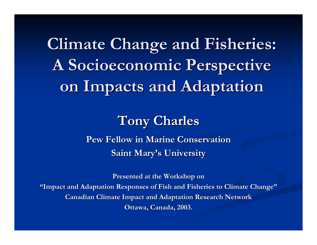**Climate Change and Fisheries: Climate Change and Fisheries: A Socioeconomic Perspective A Socioeconomic Perspective on Impacts and Adaptation on Impacts and Adaptation**

#### **Tony Charles Tony Charles**

**Pew Fellow in Marine Conservation Pew Fellow in Marine ConservationSaint Mary's University** 

**Presented at the Workshop on "Impact and Adaptation Responses of Fish and Fisheries to Climate Impact and Adaptation Responses of Fish and Fisheries to Climate Change " Canadian Climate Impact and Adaptation Research Network Ottawa, Canada, 2003. Ottawa, Canada, 2003.**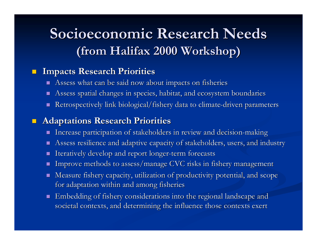### **Socioeconomic Research Needs (from Halifax 2000 Workshop) (from Halifax 2000 Workshop)**

#### $\blacksquare$ **Impacts Research Priorities Impacts Research Priorities**

- п Assess what can be said now about impacts on fisheries
- П Assess spatial changes in species, habitat, and ecosystem boundaries
- П  $\blacksquare$  Retrospectively link biological/fishery data to climate-driven parameters

#### $\blacksquare$ **Adaptations Research Priorities Adaptations Research Priorities**

- П  $\blacksquare$  Increase participation of stakeholders in review and decision-making
- П Assess resilience and adaptive capacity of stakeholders, users, and industry
- П Iteratively develop and report longer-term forecasts
- П Improve methods to assess/manage CVC risks in fishery management
- $\mathbf{r}$ Measure fishery capacity, utilization of productivity potential, and scope for adaptation within and among fisheries
- п Embedding of fishery considerations into the regional landscape and societal contexts, and determining the influence those contexts exert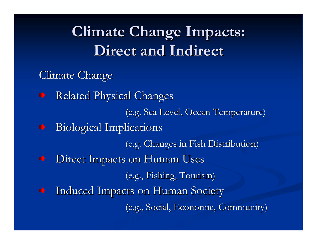## **Climate Change Impacts: Climate Change Impacts: Direct and Indirect Direct and Indirect**

- Climate Change
- Related Physical Changes ⋫ (e.g. Sea Level, Ocean Temperature) (e.g. Sea Level, Ocean Temperature)  $\rightarrow$  Biological Implications (e.g. Changes in Fish Distribution) (e.g. Changes in Fish Distribution) Direct Impacts on Human Uses ◆ (e.g., Fishing, Tourism) (e.g., Fishing, Tourism) Induced Impacts on Human Society ◆ (e.g., Social, Economic, Community) (e.g., Social, Economic, Community)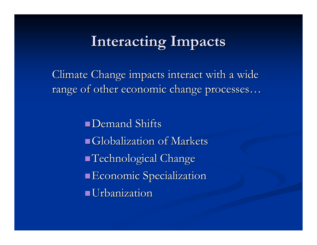### **Interacting Impacts Interacting Impacts**

Climate Change impacts interact with a wide range of other economic change processes …

> **Demand Shifts**  $\blacksquare$ Globalization of Markets  $\blacksquare$  Technological Change **Economic Specialization** Urbanization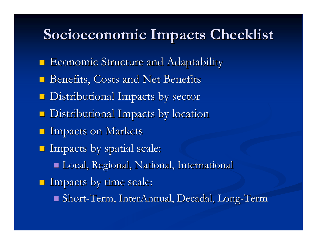### **Socioeconomic Impacts Checklist Socioeconomic Impacts Checklist**

- **Exercise Structure and Adaptability** Economic Structure and Adaptability
- Benefits, Costs and Net Benefits
- Distributional Impacts by sector Distributional Impacts by sector
- $\blacksquare$  Distributional Impacts by location
- **Impacts on Markets**
- Impacts by spatial scale: Impacts by spatial scale:
	- Local, Regional, National, International Local, Regional, National, International
- Impacts by time scale: Impacts by time scale:
	- Short-Term, InterAnnual, Decadal, Long-Term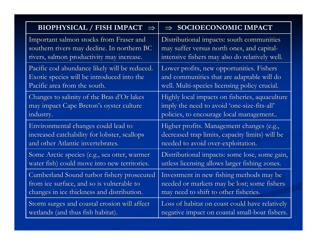| <b>BIOPHYSICAL / FISH IMPACT</b>              | $\Rightarrow$ SOCIOECONOMIC IMPACT              |
|-----------------------------------------------|-------------------------------------------------|
| Important salmon stocks from Fraser and       | Distributional impacts: south communities       |
| southern rivers may decline. In northern BC   | may suffer versus north ones, and capital-      |
| rivers, salmon productivity may increase.     | intensive fishers may also do relatively well.  |
| Pacific cod abundance likely will be reduced. | Lower profits, new opportunities. Fishers       |
| Exotic species will be introduced into the    | and communities that are adaptable will do      |
| Pacific area from the south.                  | well. Multi-species licensing policy crucial.   |
| Changes to salinity of the Bras d'Or lakes    | Highly local impacts on fisheries, aquaculture  |
| may impact Cape Breton's oyster culture       | imply the need to avoid 'one-size-fits-all'     |
| industry.                                     | policies, to encourage local management         |
| Environmental changes could lead to           | Higher profits. Management changes (e.g.,       |
| increased catchability for lobster, scallops  | decreased trap limits, capacity limits) will be |
| and other Atlantic invertebrates.             | needed to avoid over-exploitation.              |
| Some Arctic species (e.g., sea otter, warmer  | Distributional impacts: some lose, some gain,   |
| water fish) could move into new territories.  | unless licensing allows larger fishing zones.   |
| Cumberland Sound turbot fishery prosecuted    | Investment in new fishing methods may be        |
| from ice surface, and so is vulnerable to     | needed or markets may be lost; some fishers     |
| changes in ice thickness and distribution.    | may need to shift to other fisheries.           |
| Storm surges and coastal erosion will affect  | Loss of habitat on coast could have relatively  |
| wetlands (and thus fish habitat).             | negative impact on coastal small-boat fishers.  |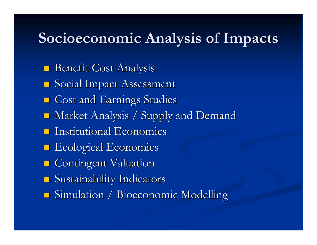#### **Socioeconomic Analysis of Impacts Socioeconomic Analysis of Impacts**

- **Benefit-Cost Analysis**
- **Social Impact Assessment**
- **E** Cost and Earnings Studies
- **Market Analysis / Supply and Demand**
- Institutional Economics
- **Excological Economics**
- **Contingent Valuation**
- Sustainability Indicators
- **Simulation / Bioeconomic Modelling**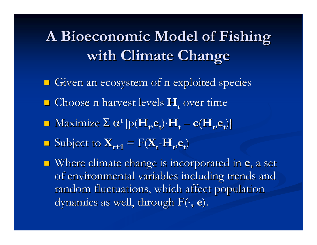A Bioeconomic Model of Fishing **with Climate Change** 

- Given an ecosystem of n exploited species
- $\blacksquare$  Choose n harvest levels  $\mathbf{H}_{\mathbf{t}}$  over time
- $\blacksquare$  Maximize  $\Sigma$   $\alpha^{\text{t}}$  [p( $\mathbf{H}_{t}$ ,**e**<sub>t</sub>)</sub> $\cdot$ **H**<sub>t</sub> **c**( $\mathbf{H}_{t}$ ,**e**<sub>t</sub>)]
- $\blacksquare$  Subject to  $\mathbf{X}_{t+1} = \text{F}(\mathbf{X}_{t} \mathbf{H}_{t}, \mathbf{e}_{t})$
- **E** Where climate change is incorporated in **e**, a set of environmental variables including trends and random fluctuations, which affect population dynamics as well, through F(⋅, **e**).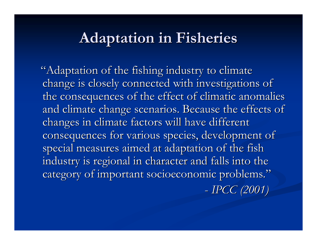#### **Adaptation in Fisheries Adaptation in Fisheries**

"Adaptation of the fishing industry to climate change is closely connected with investigations of the consequences of the effect of climatic anomalies and climate change scenarios. Because the effects of changes in climate factors will have different consequences for various species, development of special measures aimed at adaptation of the fish industry is regional in character and falls into the category of important socioeconomic problems." *IPCC (2001) IPCC (2001)*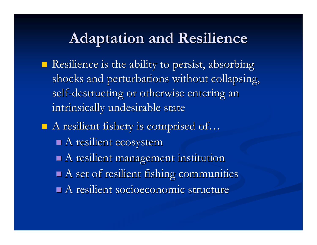#### **Adaptation and Resilience Adaptation and Resilience**

- $\blacksquare$  Resilience is the ability to persist, absorbing shocks and perturbations without collapsing, self-destructing or otherwise entering an intrinsically undesirable state
- $\blacksquare$  A resilient fishery is comprised of...  $\blacksquare$  A resilient ecosystem  $\blacksquare$  A resilient management institution  $\blacksquare$  A set of resilient fishing communities  $\blacksquare$  A resilient socioeconomic structure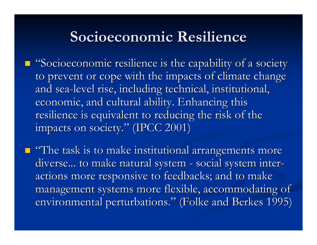#### **Socioeconomic Resilience Socioeconomic Resilience**

 $\blacksquare$  "Socioeconomic resilience is the capability of a society to prevent or cope with the impacts of climate change and sea-level rise, including technical, institutional, economic, and cultural ability. Enhancing this resilience is equivalent to reducing the risk of the impacts on society." (IPCC 2001)

 $\blacksquare$  "The task is to make institutional arrangements more diverse... to make natural system - social system interactions more responsive to feedbacks; and to make management systems more flexible, accommodating of environmental perturbations." (Folke and Berkes 1995)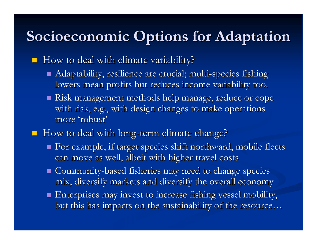## **Socioeconomic Options for Adaptation Socioeconomic Options for Adaptation**

How to deal with climate variability?

- $\blacksquare$  Adaptability, resilience are crucial; multi-species fishing lowers mean profits but reduces income variability too.
- $\blacksquare$  Risk management methods help manage, reduce or cope with risk, e.g., with design changes to make operations more 'robust'
- $\blacksquare$  How to deal with long-term climate change?
	- For example, if target species shift northward, mobile fleets can move as well, albeit with higher travel costs
	- Gommunity-based fisheries may need to change species mix, diversify markets and diversify the overall economy
	- $\blacksquare$  Enterprises may invest to increase fishing vessel mobility, but this has impacts on the sustainability of the resource…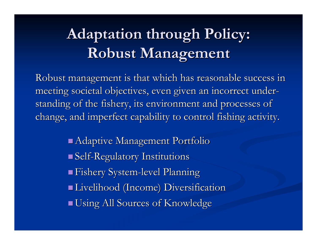# **Adaptation through Policy: Adaptation through Policy: Robust Management Robust Management**

Robust management is that which has reasonable success in meeting societal objectives, even given an incorrect understanding of the fishery, its environment and processes of change, and imperfect capability to control fishing activity.

> $\blacksquare$  Adaptive Management Portfolio Self-Regulatory Institutions Regulatory Institutions **Example 1 Fishery System-level Planning**  Livelihood (Income) Diversification Livelihood (Income) Diversification  $\blacksquare$  Using All Sources of Knowledge